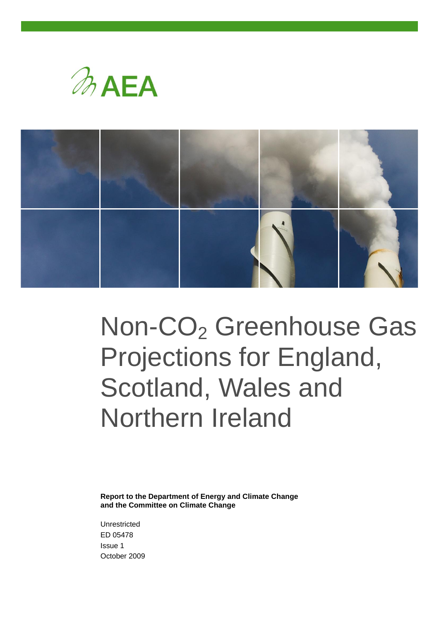



# Non-CO<sub>2</sub> Greenhouse Gas Projections for England, Scotland, Wales and Northern Ireland

**Report to the Department of Energy and Climate Change and the Committee on Climate Change**

Unrestricted ED 05478 Issue 1 October 2009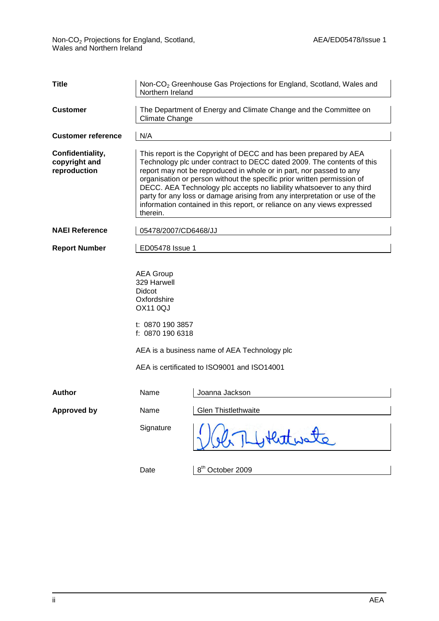| <b>Title</b>                                      | Non-CO <sub>2</sub> Greenhouse Gas Projections for England, Scotland, Wales and<br>Northern Ireland |                                                                                                                                                                                                                                                                                                                                                                                                                                                                                                                                  |  |  |  |  |  |
|---------------------------------------------------|-----------------------------------------------------------------------------------------------------|----------------------------------------------------------------------------------------------------------------------------------------------------------------------------------------------------------------------------------------------------------------------------------------------------------------------------------------------------------------------------------------------------------------------------------------------------------------------------------------------------------------------------------|--|--|--|--|--|
| <b>Customer</b>                                   | The Department of Energy and Climate Change and the Committee on<br>Climate Change                  |                                                                                                                                                                                                                                                                                                                                                                                                                                                                                                                                  |  |  |  |  |  |
| <b>Customer reference</b>                         | N/A                                                                                                 |                                                                                                                                                                                                                                                                                                                                                                                                                                                                                                                                  |  |  |  |  |  |
| Confidentiality,<br>copyright and<br>reproduction | therein.                                                                                            | This report is the Copyright of DECC and has been prepared by AEA<br>Technology plc under contract to DECC dated 2009. The contents of this<br>report may not be reproduced in whole or in part, nor passed to any<br>organisation or person without the specific prior written permission of<br>DECC. AEA Technology plc accepts no liability whatsoever to any third<br>party for any loss or damage arising from any interpretation or use of the<br>information contained in this report, or reliance on any views expressed |  |  |  |  |  |
| <b>NAEI Reference</b>                             | 05478/2007/CD6468/JJ                                                                                |                                                                                                                                                                                                                                                                                                                                                                                                                                                                                                                                  |  |  |  |  |  |
| <b>Report Number</b>                              | ED05478 Issue 1                                                                                     |                                                                                                                                                                                                                                                                                                                                                                                                                                                                                                                                  |  |  |  |  |  |
|                                                   | <b>AEA Group</b><br>329 Harwell<br>Didcot<br>Oxfordshire<br><b>OX11 0QJ</b><br>t: 0870 190 3857     |                                                                                                                                                                                                                                                                                                                                                                                                                                                                                                                                  |  |  |  |  |  |
|                                                   | f: 0870 190 6318                                                                                    |                                                                                                                                                                                                                                                                                                                                                                                                                                                                                                                                  |  |  |  |  |  |
|                                                   |                                                                                                     | AEA is a business name of AEA Technology plc                                                                                                                                                                                                                                                                                                                                                                                                                                                                                     |  |  |  |  |  |
|                                                   |                                                                                                     | AEA is certificated to ISO9001 and ISO14001                                                                                                                                                                                                                                                                                                                                                                                                                                                                                      |  |  |  |  |  |
| <b>Author</b>                                     | Name                                                                                                | Joanna Jackson                                                                                                                                                                                                                                                                                                                                                                                                                                                                                                                   |  |  |  |  |  |
| <b>Approved by</b>                                | Name                                                                                                | Glen Thistlethwaite                                                                                                                                                                                                                                                                                                                                                                                                                                                                                                              |  |  |  |  |  |
|                                                   | Signature                                                                                           | Hertwate                                                                                                                                                                                                                                                                                                                                                                                                                                                                                                                         |  |  |  |  |  |
|                                                   | Date                                                                                                | 8 <sup>th</sup> October 2009                                                                                                                                                                                                                                                                                                                                                                                                                                                                                                     |  |  |  |  |  |

8" October 2009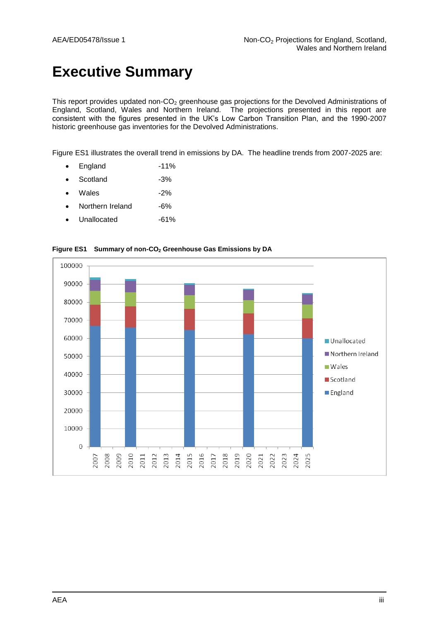# **Executive Summary**

This report provides updated non- $CO<sub>2</sub>$  greenhouse gas projections for the Devolved Administrations of England, Scotland, Wales and Northern Ireland. The projections presented in this report are consistent with the figures presented in the UK's Low Carbon Transition Plan, and the 1990-2007 historic greenhouse gas inventories for the Devolved Administrations.

Figure ES1 illustrates the overall trend in emissions by DA. The headline trends from 2007-2025 are:

- England -11%
- Scotland -3%
- $\bullet$  Wales  $-2\%$
- Northern Ireland -6%
- Unallocated -61%



**Figure ES1 Summary of non-CO<sup>2</sup> Greenhouse Gas Emissions by DA**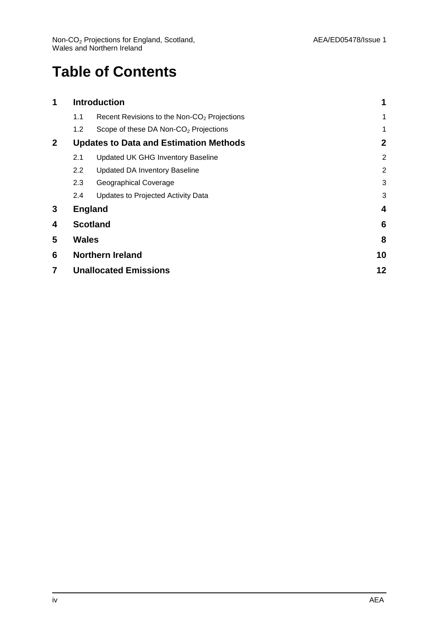# **Table of Contents**

| 1            |              | <b>Introduction</b>                                     |                |
|--------------|--------------|---------------------------------------------------------|----------------|
|              | 1.1          | Recent Revisions to the Non-CO <sub>2</sub> Projections | $\mathbf 1$    |
|              | 1.2          | Scope of these DA Non-CO <sub>2</sub> Projections       | 1              |
| $\mathbf{2}$ |              | <b>Updates to Data and Estimation Methods</b>           | $\mathbf{2}$   |
|              | 2.1          | <b>Updated UK GHG Inventory Baseline</b>                | $\overline{2}$ |
|              | $2.2\,$      | <b>Updated DA Inventory Baseline</b>                    | $\overline{2}$ |
|              | 2.3          | Geographical Coverage                                   | 3              |
|              | 2.4          | Updates to Projected Activity Data                      | 3              |
| 3            |              | <b>England</b>                                          | 4              |
| 4            |              | <b>Scotland</b>                                         | 6              |
| 5            | <b>Wales</b> |                                                         | 8              |
| 6            |              | <b>Northern Ireland</b>                                 | 10             |
| 7            |              | <b>Unallocated Emissions</b>                            | 12             |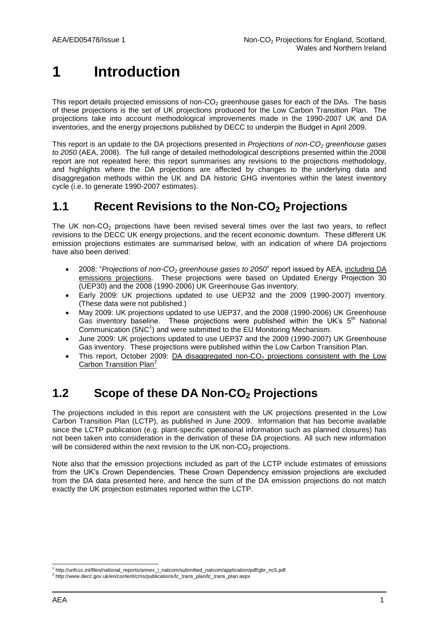# <span id="page-4-0"></span>**1 Introduction**

This report details projected emissions of non-CO<sub>2</sub> greenhouse gases for each of the DAs. The basis of these projections is the set of UK projections produced for the Low Carbon Transition Plan. The projections take into account methodological improvements made in the 1990-2007 UK and DA inventories, and the energy projections published by DECC to underpin the Budget in April 2009.

This report is an update to the DA projections presented in *Projections of non-CO<sup>2</sup> greenhouse gases to 2050* (AEA, 2008). The full range of detailed methodological descriptions presented within the 2008 report are not repeated here; this report summarises any revisions to the projections methodology, and highlights where the DA projections are affected by changes to the underlying data and disaggregation methods within the UK and DA historic GHG inventories within the latest inventory cycle (i.e. to generate 1990-2007 estimates).

#### <span id="page-4-1"></span>**1.1 Recent Revisions to the Non-CO<sup>2</sup> Projections**

The UK non- $CO<sub>2</sub>$  projections have been revised several times over the last two years, to reflect revisions to the DECC UK energy projections, and the recent economic downturn. These different UK emission projections estimates are summarised below, with an indication of where DA projections have also been derived:

- 2008: "*Projections of non-CO<sup>2</sup> greenhouse gases to 2050*" report issued by AEA, including DA emissions projections. These projections were based on Updated Energy Projection 30 (UEP30) and the 2008 (1990-2006) UK Greenhouse Gas inventory.
- Early 2009: UK projections updated to use UEP32 and the 2009 (1990-2007) inventory. (These data were not published.)
- May 2009: UK projections updated to use UEP37, and the 2008 (1990-2006) UK Greenhouse Gas inventory baseline. These projections were published within the UK's  $5<sup>th</sup>$  National Communication (5NC<sup>1</sup>) and were submitted to the EU Monitoring Mechanism.
- June 2009: UK projections updated to use UEP37 and the 2009 (1990-2007) UK Greenhouse Gas inventory. These projections were published within the Low Carbon Transition Plan.
- This report, October 2009: DA disaggregated non-CO<sub>2</sub> projections consistent with the Low Carbon Transition Plan<sup>2</sup>

## <span id="page-4-2"></span>**1.2 Scope of these DA Non-CO<sup>2</sup> Projections**

The projections included in this report are consistent with the UK projections presented in the Low Carbon Transition Plan (LCTP), as published in June 2009. Information that has become available since the LCTP publication (e.g. plant-specific operational information such as planned closures) has not been taken into consideration in the derivation of these DA projections. All such new information will be considered within the next revision to the UK non- $CO<sub>2</sub>$  projections.

Note also that the emission projections included as part of the LCTP include estimates of emissions from the UK's Crown Dependencies. These Crown Dependency emission projections are excluded from the DA data presented here, and hence the sum of the DA emission projections do not match exactly the UK projection estimates reported within the LCTP.

l 1 http://unfccc.int/files/national\_reports/annex\_i\_natcom/submitted\_natcom/application/pdf/gbr\_nc5.pdf

<sup>&</sup>lt;sup>2</sup> http://www.decc.gov.uk/en/content/cms/publications/lc\_trans\_plan/lc\_trans\_plan.aspx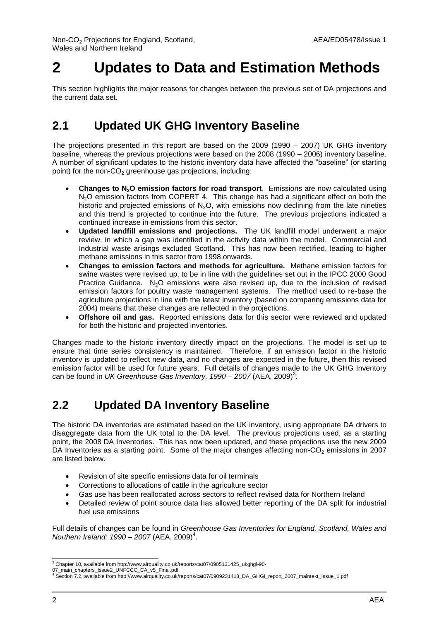# <span id="page-5-0"></span>**2 Updates to Data and Estimation Methods**

This section highlights the major reasons for changes between the previous set of DA projections and the current data set.

### <span id="page-5-1"></span>**2.1 Updated UK GHG Inventory Baseline**

The projections presented in this report are based on the 2009 (1990 – 2007) UK GHG inventory baseline, whereas the previous projections were based on the 2008 (1990 – 2006) inventory baseline. A number of significant updates to the historic inventory data have affected the "baseline" (or starting point) for the non- $CO<sub>2</sub>$  greenhouse gas projections, including:

- **Changes to N2O emission factors for road transport**. Emissions are now calculated using  $N<sub>2</sub>O$  emission factors from COPERT 4. This change has had a significant effect on both the historic and projected emissions of  $N<sub>2</sub>O$ , with emissions now declining from the late nineties and this trend is projected to continue into the future. The previous projections indicated a continued increase in emissions from this sector.
- **Updated landfill emissions and projections.** The UK landfill model underwent a major review, in which a gap was identified in the activity data within the model. Commercial and Industrial waste arisings excluded Scotland. This has now been rectified, leading to higher methane emissions in this sector from 1998 onwards.
- **Changes to emission factors and methods for agriculture.** Methane emission factors for swine wastes were revised up, to be in line with the guidelines set out in the IPCC 2000 Good Practice Guidance.  $N_2O$  emissions were also revised up, due to the inclusion of revised emission factors for poultry waste management systems. The method used to re-base the agriculture projections in line with the latest inventory (based on comparing emissions data for 2004) means that these changes are reflected in the projections.
- **Offshore oil and gas.** Reported emissions data for this sector were reviewed and updated for both the historic and projected inventories.

Changes made to the historic inventory directly impact on the projections. The model is set up to ensure that time series consistency is maintained. Therefore, if an emission factor in the historic inventory is updated to reflect new data, and no changes are expected in the future, then this revised emission factor will be used for future years. Full details of changes made to the UK GHG Inventory can be found in *UK Greenhouse Gas Inventory, 1990 – 2007* (AEA, 2009)<sup>3</sup>.

#### <span id="page-5-2"></span>**2.2 Updated DA Inventory Baseline**

The historic DA inventories are estimated based on the UK inventory, using appropriate DA drivers to disaggregate data from the UK total to the DA level. The previous projections used, as a starting point, the 2008 DA Inventories. This has now been updated, and these projections use the new 2009 DA Inventories as a starting point. Some of the major changes affecting non- $CO<sub>2</sub>$  emissions in 2007 are listed below.

- Revision of site specific emissions data for oil terminals
- Corrections to allocations of cattle in the agriculture sector
- Gas use has been reallocated across sectors to reflect revised data for Northern Ireland
- Detailed review of point source data has allowed better reporting of the DA split for industrial fuel use emissions

Full details of changes can be found in *Greenhouse Gas Inventories for England, Scotland, Wales and Northern Ireland: 1990 - 2007* (AEA, 2009)<sup>4</sup>.

l <sup>3</sup> Chapter 10, available from http://www.airquality.co.uk/reports/cat07/0905131425\_ukghgi-90-

<sup>07</sup>\_main\_chapters\_Issue2\_UNFCCC\_CA\_v5\_Final.pdf<br><sup>4</sup> Section 7.2, available from http://www.airquality.co.uk/reports/cat07/0909231418\_DA\_GHGI\_report\_2007\_maintext\_Issue\_1.pdf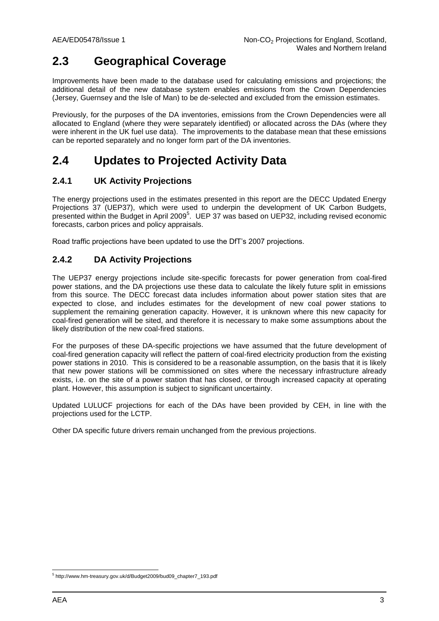## <span id="page-6-0"></span>**2.3 Geographical Coverage**

Improvements have been made to the database used for calculating emissions and projections; the additional detail of the new database system enables emissions from the Crown Dependencies (Jersey, Guernsey and the Isle of Man) to be de-selected and excluded from the emission estimates.

Previously, for the purposes of the DA inventories, emissions from the Crown Dependencies were all allocated to England (where they were separately identified) or allocated across the DAs (where they were inherent in the UK fuel use data). The improvements to the database mean that these emissions can be reported separately and no longer form part of the DA inventories.

### <span id="page-6-1"></span>**2.4 Updates to Projected Activity Data**

#### **2.4.1 UK Activity Projections**

The energy projections used in the estimates presented in this report are the DECC Updated Energy Projections 37 (UEP37), which were used to underpin the development of UK Carbon Budgets, presented within the Budget in April 2009<sup>5</sup>. UEP 37 was based on UEP32, including revised economic forecasts, carbon prices and policy appraisals.

Road traffic projections have been updated to use the DfT's 2007 projections.

#### **2.4.2 DA Activity Projections**

The UEP37 energy projections include site-specific forecasts for power generation from coal-fired power stations, and the DA projections use these data to calculate the likely future split in emissions from this source. The DECC forecast data includes information about power station sites that are expected to close, and includes estimates for the development of new coal power stations to supplement the remaining generation capacity. However, it is unknown where this new capacity for coal-fired generation will be sited, and therefore it is necessary to make some assumptions about the likely distribution of the new coal-fired stations.

For the purposes of these DA-specific projections we have assumed that the future development of coal-fired generation capacity will reflect the pattern of coal-fired electricity production from the existing power stations in 2010. This is considered to be a reasonable assumption, on the basis that it is likely that new power stations will be commissioned on sites where the necessary infrastructure already exists, i.e. on the site of a power station that has closed, or through increased capacity at operating plant. However, this assumption is subject to significant uncertainty.

Updated LULUCF projections for each of the DAs have been provided by CEH, in line with the projections used for the LCTP.

Other DA specific future drivers remain unchanged from the previous projections.

<sup>&</sup>lt;sub>5</sub><br><sup>5</sup> http://www.hm-treasury.gov.uk/d/Budget2009/bud09\_chapter7\_193.pdf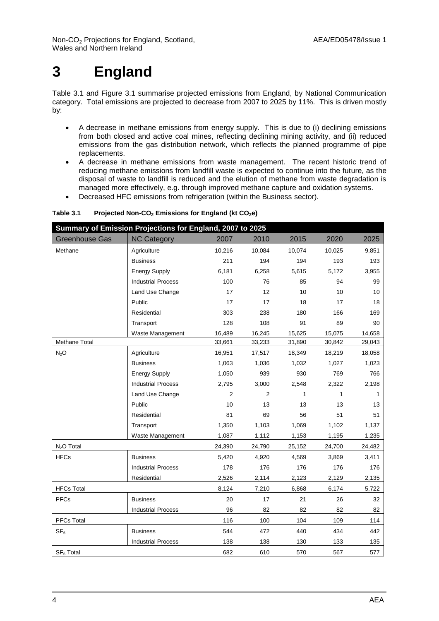# <span id="page-7-0"></span>**3 England**

Table 3.1 and Figure 3.1 summarise projected emissions from England, by National Communication category. Total emissions are projected to decrease from 2007 to 2025 by 11%. This is driven mostly by:

- A decrease in methane emissions from energy supply. This is due to (i) declining emissions from both closed and active coal mines, reflecting declining mining activity, and (ii) reduced emissions from the gas distribution network, which reflects the planned programme of pipe replacements.
- A decrease in methane emissions from waste management. The recent historic trend of reducing methane emissions from landfill waste is expected to continue into the future, as the disposal of waste to landfill is reduced and the elution of methane from waste degradation is managed more effectively, e.g. through improved methane capture and oxidation systems.
- Decreased HFC emissions from refrigeration (within the Business sector).

| Summary of Emission Projections for England, 2007 to 2025 |                           |                |        |        |              |        |  |  |  |
|-----------------------------------------------------------|---------------------------|----------------|--------|--------|--------------|--------|--|--|--|
| <b>Greenhouse Gas</b>                                     | <b>NC Category</b>        | 2007           | 2010   | 2015   | 2020         | 2025   |  |  |  |
| Methane                                                   | Agriculture               | 10,216         | 10,084 | 10,074 | 10,025       | 9,851  |  |  |  |
|                                                           | <b>Business</b>           | 211            | 194    | 194    | 193          | 193    |  |  |  |
|                                                           | <b>Energy Supply</b>      | 6,181          | 6,258  | 5,615  | 5,172        | 3,955  |  |  |  |
|                                                           | <b>Industrial Process</b> | 100            | 76     | 85     | 94           | 99     |  |  |  |
|                                                           | Land Use Change           | 17             | 12     | 10     | 10           | 10     |  |  |  |
|                                                           | Public                    | 17             | 17     | 18     | 17           | 18     |  |  |  |
|                                                           | Residential               | 303            | 238    | 180    | 166          | 169    |  |  |  |
|                                                           | Transport                 | 128            | 108    | 91     | 89           | 90     |  |  |  |
|                                                           | Waste Management          | 16,489         | 16,245 | 15,625 | 15,075       | 14,658 |  |  |  |
| Methane Total                                             |                           | 33,661         | 33,233 | 31,890 | 30,842       | 29,043 |  |  |  |
| N <sub>2</sub> O                                          | Agriculture               | 16,951         | 17,517 | 18,349 | 18,219       | 18,058 |  |  |  |
|                                                           | <b>Business</b>           | 1,063          | 1,036  | 1,032  | 1,027        | 1,023  |  |  |  |
|                                                           | <b>Energy Supply</b>      | 1,050          | 939    | 930    | 769          | 766    |  |  |  |
|                                                           | <b>Industrial Process</b> | 2,795          | 3,000  | 2,548  | 2,322        | 2,198  |  |  |  |
|                                                           | Land Use Change           | $\overline{2}$ | 2      | 1      | $\mathbf{1}$ | 1      |  |  |  |
|                                                           | Public                    | 10             | 13     | 13     | 13           | 13     |  |  |  |
|                                                           | Residential               | 81             | 69     | 56     | 51           | 51     |  |  |  |
|                                                           | Transport                 | 1,350          | 1,103  | 1,069  | 1,102        | 1,137  |  |  |  |
|                                                           | Waste Management          | 1,087          | 1,112  | 1,153  | 1,195        | 1,235  |  |  |  |
| $N2O$ Total                                               |                           | 24,390         | 24,790 | 25,152 | 24,700       | 24,482 |  |  |  |
| <b>HFCs</b>                                               | <b>Business</b>           | 5,420          | 4,920  | 4,569  | 3,869        | 3,411  |  |  |  |
|                                                           | <b>Industrial Process</b> | 178            | 176    | 176    | 176          | 176    |  |  |  |
|                                                           | Residential               | 2,526          | 2,114  | 2,123  | 2,129        | 2,135  |  |  |  |
| <b>HFCs Total</b>                                         |                           | 8,124          | 7,210  | 6,868  | 6,174        | 5,722  |  |  |  |
| <b>PFCs</b>                                               | <b>Business</b>           | 20             | 17     | 21     | 26           | 32     |  |  |  |
|                                                           | <b>Industrial Process</b> | 96             | 82     | 82     | 82           | 82     |  |  |  |
| <b>PFCs Total</b>                                         |                           | 116            | 100    | 104    | 109          | 114    |  |  |  |
| SF <sub>6</sub>                                           | <b>Business</b>           | 544            | 472    | 440    | 434          | 442    |  |  |  |
|                                                           | <b>Industrial Process</b> | 138            | 138    | 130    | 133          | 135    |  |  |  |
| SF <sub>6</sub> Total                                     |                           | 682            | 610    | 570    | 567          | 577    |  |  |  |

#### **Table 3.1 Projected Non-CO<sup>2</sup> Emissions for England (kt CO2e)**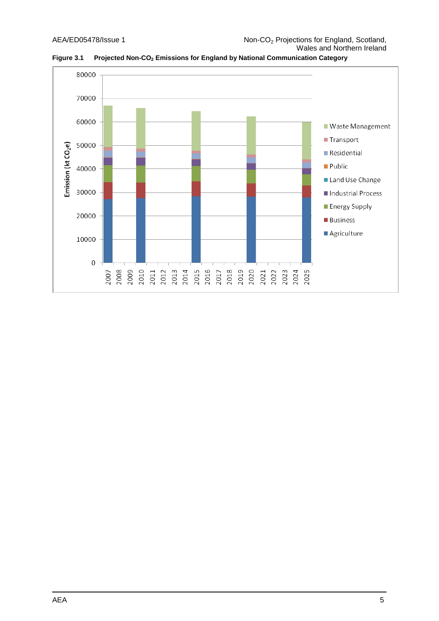

**Figure 3.1 Projected Non-CO<sup>2</sup> Emissions for England by National Communication Category**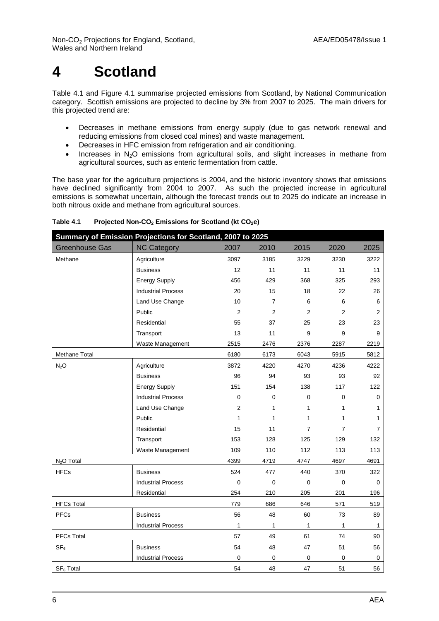# <span id="page-9-0"></span>**4 Scotland**

Table 4.1 and Figure 4.1 summarise projected emissions from Scotland, by National Communication category. Scottish emissions are projected to decline by 3% from 2007 to 2025. The main drivers for this projected trend are:

- Decreases in methane emissions from energy supply (due to gas network renewal and reducing emissions from closed coal mines) and waste management.
- Decreases in HFC emission from refrigeration and air conditioning.
- Increases in  $N_2O$  emissions from agricultural soils, and slight increases in methane from agricultural sources, such as enteric fermentation from cattle.

The base year for the agriculture projections is 2004, and the historic inventory shows that emissions have declined significantly from 2004 to 2007. As such the projected increase in agricultural emissions is somewhat uncertain, although the forecast trends out to 2025 do indicate an increase in both nitrous oxide and methane from agricultural sources.

|                        | Summary of Emission Projections for Scotland, 2007 to 2025 |      |                |                |                |                |
|------------------------|------------------------------------------------------------|------|----------------|----------------|----------------|----------------|
| <b>Greenhouse Gas</b>  | <b>NC Category</b>                                         | 2007 | 2010           | 2015           | 2020           | 2025           |
| Methane                | Agriculture                                                | 3097 | 3185           | 3229           | 3230           | 3222           |
|                        | <b>Business</b>                                            | 12   | 11             | 11             | 11             | 11             |
|                        | <b>Energy Supply</b>                                       | 456  | 429            | 368            | 325            | 293            |
|                        | <b>Industrial Process</b>                                  | 20   | 15             | 18             | 22             | 26             |
|                        | Land Use Change                                            | 10   | $\overline{7}$ | 6              | 6              | 6              |
|                        | Public                                                     | 2    | $\overline{2}$ | 2              | 2              | 2              |
|                        | Residential                                                | 55   | 37             | 25             | 23             | 23             |
|                        | Transport                                                  | 13   | 11             | 9              | 9              | 9              |
|                        | Waste Management                                           | 2515 | 2476           | 2376           | 2287           | 2219           |
| Methane Total          |                                                            | 6180 | 6173           | 6043           | 5915           | 5812           |
| $N_2O$                 | Agriculture                                                | 3872 | 4220           | 4270           | 4236           | 4222           |
|                        | <b>Business</b>                                            | 96   | 94             | 93             | 93             | 92             |
|                        | <b>Energy Supply</b>                                       | 151  | 154            | 138            | 117            | 122            |
|                        | <b>Industrial Process</b>                                  | 0    | 0              | 0              | 0              | 0              |
|                        | Land Use Change                                            | 2    | 1              | 1              | $\mathbf{1}$   | 1              |
|                        | Public                                                     | 1    | 1              | 1              | 1              | 1              |
|                        | Residential                                                | 15   | 11             | $\overline{7}$ | $\overline{7}$ | $\overline{7}$ |
|                        | Transport                                                  | 153  | 128            | 125            | 129            | 132            |
|                        | Waste Management                                           | 109  | 110            | 112            | 113            | 113            |
| N <sub>2</sub> O Total |                                                            | 4399 | 4719           | 4747           | 4697           | 4691           |
| <b>HFCs</b>            | <b>Business</b>                                            | 524  | 477            | 440            | 370            | 322            |
|                        | <b>Industrial Process</b>                                  | 0    | 0              | $\mathbf 0$    | $\mathbf 0$    | 0              |
|                        | Residential                                                | 254  | 210            | 205            | 201            | 196            |
| <b>HFCs Total</b>      |                                                            | 779  | 686            | 646            | 571            | 519            |
| <b>PFCs</b>            | <b>Business</b>                                            | 56   | 48             | 60             | 73             | 89             |
|                        | <b>Industrial Process</b>                                  | 1    | 1              | 1              | 1              | $\mathbf{1}$   |
| PFCs Total             |                                                            | 57   | 49             | 61             | 74             | 90             |
| SF <sub>6</sub>        | <b>Business</b>                                            | 54   | 48             | 47             | 51             | 56             |
|                        | <b>Industrial Process</b>                                  | 0    | 0              | $\mathbf 0$    | 0              | 0              |
| SF <sub>6</sub> Total  |                                                            | 54   | 48             | 47             | 51             | 56             |

**Table 4.1 Projected Non-CO<sup>2</sup> Emissions for Scotland (kt CO2e)**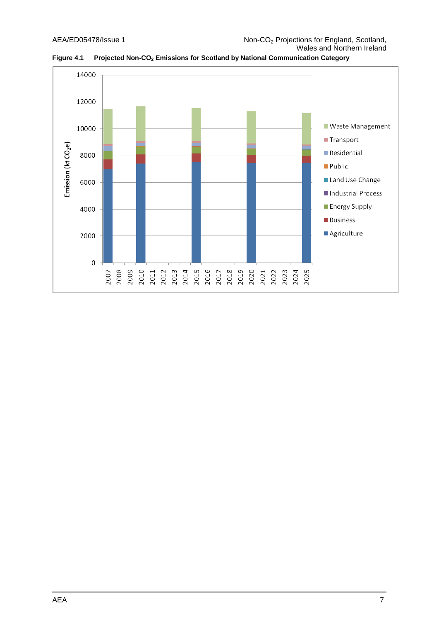

**Figure 4.1 Projected Non-CO<sup>2</sup> Emissions for Scotland by National Communication Category**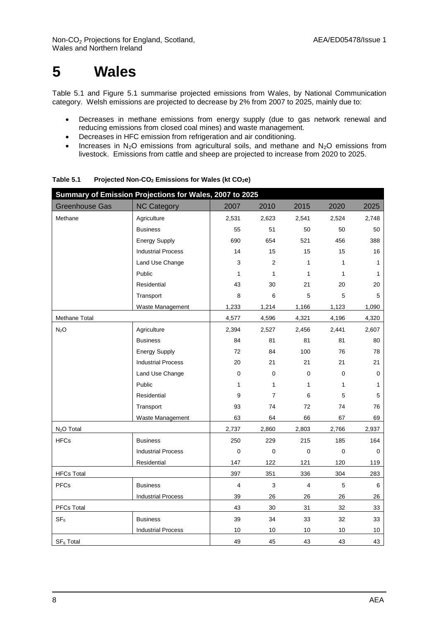# <span id="page-11-0"></span>**5 Wales**

Table 5.1 and Figure 5.1 summarise projected emissions from Wales, by National Communication category. Welsh emissions are projected to decrease by 2% from 2007 to 2025, mainly due to:

- Decreases in methane emissions from energy supply (due to gas network renewal and reducing emissions from closed coal mines) and waste management.
- Decreases in HFC emission from refrigeration and air conditioning.
- Increases in N<sub>2</sub>O emissions from agricultural soils, and methane and N<sub>2</sub>O emissions from livestock. Emissions from cattle and sheep are projected to increase from 2020 to 2025.

| Summary of Emission Projections for Wales, 2007 to 2025 |                           |                         |                |                         |              |       |  |  |
|---------------------------------------------------------|---------------------------|-------------------------|----------------|-------------------------|--------------|-------|--|--|
| <b>Greenhouse Gas</b>                                   | <b>NC Category</b>        | 2007                    | 2010           | 2015                    | 2020         | 2025  |  |  |
| Methane                                                 | Agriculture               | 2,531                   | 2,623          | 2,541                   | 2,524        | 2,748 |  |  |
|                                                         | <b>Business</b>           | 55                      | 51             | 50                      | 50           | 50    |  |  |
|                                                         | <b>Energy Supply</b>      | 690                     | 654            | 521                     | 456          | 388   |  |  |
|                                                         | <b>Industrial Process</b> | 14                      | 15             | 15                      | 15           | 16    |  |  |
|                                                         | Land Use Change           | 3                       | $\overline{2}$ | 1                       | $\mathbf{1}$ | 1     |  |  |
|                                                         | Public                    | 1                       | 1              | 1                       | 1            | 1     |  |  |
|                                                         | Residential               | 43                      | 30             | 21                      | 20           | 20    |  |  |
|                                                         | Transport                 | 8                       | 6              | 5                       | 5            | 5     |  |  |
|                                                         | Waste Management          | 1,233                   | 1,214          | 1,166                   | 1,123        | 1,090 |  |  |
| Methane Total                                           |                           | 4,577                   | 4,596          | 4,321                   | 4,196        | 4,320 |  |  |
| $N_2O$                                                  | Agriculture               | 2,394                   | 2,527          | 2,456                   | 2,441        | 2,607 |  |  |
|                                                         | <b>Business</b>           | 84                      | 81             | 81                      | 81           | 80    |  |  |
|                                                         | <b>Energy Supply</b>      | 72                      | 84             | 100                     | 76           | 78    |  |  |
|                                                         | <b>Industrial Process</b> | 20                      | 21             | 21                      | 21           | 21    |  |  |
|                                                         | Land Use Change           | 0                       | $\mathbf 0$    | $\mathbf 0$             | 0            | 0     |  |  |
|                                                         | Public                    | 1                       | 1              | $\mathbf{1}$            | $\mathbf{1}$ | 1     |  |  |
|                                                         | Residential               | 9                       | $\overline{7}$ | 6                       | 5            | 5     |  |  |
|                                                         | Transport                 | 93                      | 74             | 72                      | 74           | 76    |  |  |
|                                                         | Waste Management          | 63                      | 64             | 66                      | 67           | 69    |  |  |
| N <sub>2</sub> O Total                                  |                           | 2,737                   | 2,860          | 2,803                   | 2,766        | 2,937 |  |  |
| <b>HFCs</b>                                             | <b>Business</b>           | 250                     | 229            | 215                     | 185          | 164   |  |  |
|                                                         | <b>Industrial Process</b> | $\pmb{0}$               | $\mathbf 0$    | 0                       | $\mathbf 0$  | 0     |  |  |
|                                                         | Residential               | 147                     | 122            | 121                     | 120          | 119   |  |  |
| <b>HFCs Total</b>                                       |                           | 397                     | 351            | 336                     | 304          | 283   |  |  |
| <b>PFCs</b>                                             | <b>Business</b>           | $\overline{\mathbf{4}}$ | 3              | $\overline{\mathbf{4}}$ | 5            | 6     |  |  |
|                                                         | <b>Industrial Process</b> | 39                      | 26             | 26                      | 26           | 26    |  |  |
| PFCs Total                                              |                           | 43                      | 30             | 31                      | 32           | 33    |  |  |
| SF <sub>6</sub>                                         | <b>Business</b>           | 39                      | 34             | 33                      | 32           | 33    |  |  |
|                                                         | <b>Industrial Process</b> | 10                      | 10             | 10                      | 10           | 10    |  |  |
| SF <sub>6</sub> Total                                   |                           | 49                      | 45             | 43                      | 43           | 43    |  |  |

**Table 5.1 Projected Non-CO<sup>2</sup> Emissions for Wales (kt CO2e)**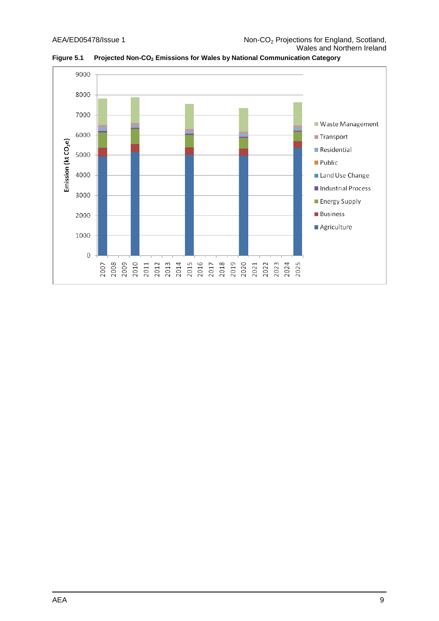

**Figure 5.1 Projected Non-CO<sup>2</sup> Emissions for Wales by National Communication Category**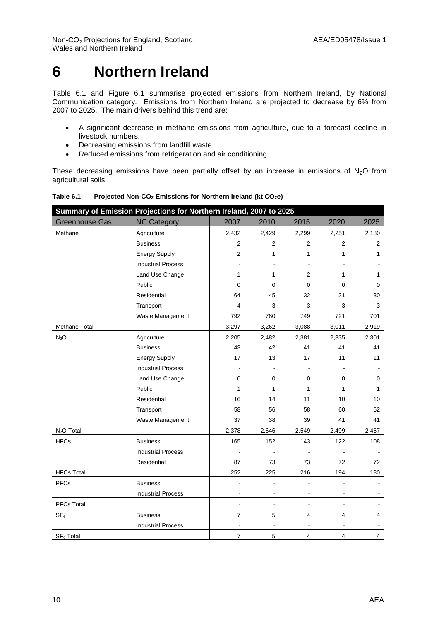Non-CO<sub>2</sub> Projections for England, Scotland, AEA/ED05478/Issue 1 Wales and Northern Ireland

# <span id="page-13-0"></span>**6 Northern Ireland**

Table 6.1 and Figure 6.1 summarise projected emissions from Northern Ireland, by National Communication category. Emissions from Northern Ireland are projected to decrease by 6% from 2007 to 2025. The main drivers behind this trend are:

- A significant decrease in methane emissions from agriculture, due to a forecast decline in livestock numbers.
- Decreasing emissions from landfill waste.
- Reduced emissions from refrigeration and air conditioning.

These decreasing emissions have been partially offset by an increase in emissions of  $N_2O$  from agricultural soils.

| Summary of Emission Projections for Northern Ireland, 2007 to 2025 |                           |                |                |                |                |                |  |  |
|--------------------------------------------------------------------|---------------------------|----------------|----------------|----------------|----------------|----------------|--|--|
| <b>Greenhouse Gas</b>                                              | <b>NC Category</b>        | 2007           | 2010           | 2015           | 2020           | 2025           |  |  |
| Methane                                                            | Agriculture               | 2,432          | 2,429          | 2,299          | 2,251          | 2,180          |  |  |
|                                                                    | <b>Business</b>           | $\overline{2}$ | $\mathbf{2}$   | 2              | $\overline{2}$ | $\mathbf{2}$   |  |  |
|                                                                    | <b>Energy Supply</b>      | 2              | 1              | 1              | 1              | 1              |  |  |
|                                                                    | <b>Industrial Process</b> |                |                |                |                |                |  |  |
|                                                                    | Land Use Change           | 1              | 1              | $\overline{2}$ | 1              | 1              |  |  |
|                                                                    | Public                    | 0              | 0              | 0              | $\mathbf 0$    | 0              |  |  |
|                                                                    | Residential               | 64             | 45             | 32             | 31             | 30             |  |  |
|                                                                    | Transport                 | 4              | 3              | 3              | 3              | 3              |  |  |
|                                                                    | Waste Management          | 792            | 780            | 749            | 721            | 701            |  |  |
| Methane Total                                                      |                           | 3,297          | 3,262          | 3,088          | 3,011          | 2,919          |  |  |
| N <sub>2</sub> O                                                   | Agriculture               | 2,205          | 2,482          | 2,381          | 2,335          | 2,301          |  |  |
|                                                                    | <b>Business</b>           | 43             | 42             | 41             | 41             | 41             |  |  |
|                                                                    | <b>Energy Supply</b>      | 17             | 13             | 17             | 11             | 11             |  |  |
|                                                                    | <b>Industrial Process</b> |                |                |                |                |                |  |  |
|                                                                    | Land Use Change           | 0              | $\mathbf 0$    | $\mathbf 0$    | 0              | 0              |  |  |
|                                                                    | Public                    | 1              | $\mathbf{1}$   | $\mathbf{1}$   | 1              | 1              |  |  |
|                                                                    | Residential               | 16             | 14             | 11             | 10             | 10             |  |  |
|                                                                    | Transport                 | 58             | 56             | 58             | 60             | 62             |  |  |
|                                                                    | Waste Management          | 37             | 38             | 39             | 41             | 41             |  |  |
| N <sub>2</sub> O Total                                             |                           | 2,378          | 2,646          | 2,549          | 2,499          | 2,467          |  |  |
| <b>HFCs</b>                                                        | <b>Business</b>           | 165            | 152            | 143            | 122            | 108            |  |  |
|                                                                    | <b>Industrial Process</b> |                |                |                |                |                |  |  |
|                                                                    | Residential               | 87             | 73             | 73             | 72             | 72             |  |  |
| <b>HFCs Total</b>                                                  |                           | 252            | 225            | 216            | 194            | 180            |  |  |
| <b>PFCs</b>                                                        | <b>Business</b>           |                |                |                |                |                |  |  |
|                                                                    | <b>Industrial Process</b> |                |                |                |                |                |  |  |
| PFCs Total                                                         |                           | $\blacksquare$ | $\blacksquare$ |                |                |                |  |  |
| SF <sub>6</sub>                                                    | <b>Business</b>           | $\overline{7}$ | 5              | $\overline{4}$ | 4              | $\overline{4}$ |  |  |
|                                                                    | <b>Industrial Process</b> | $\blacksquare$ |                |                |                | $\blacksquare$ |  |  |
| SF <sub>6</sub> Total                                              |                           | $\overline{7}$ | 5              | 4              | 4              | $\overline{4}$ |  |  |

**Table 6.1 Projected Non-CO<sup>2</sup> Emissions for Northern Ireland (kt CO2e)**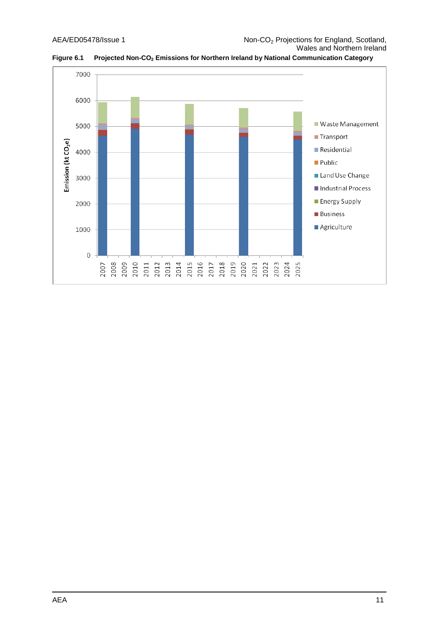

**Figure 6.1 Projected Non-CO<sup>2</sup> Emissions for Northern Ireland by National Communication Category**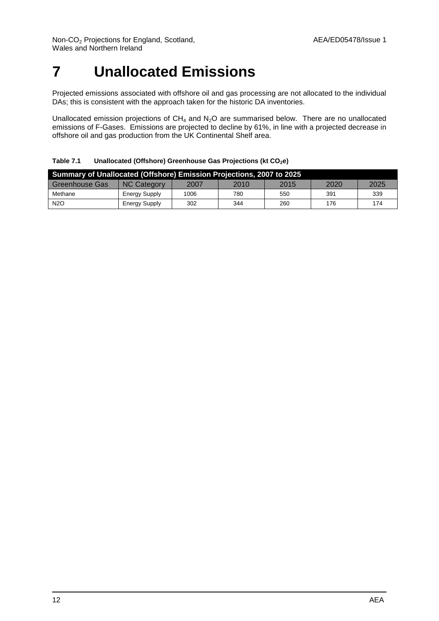# <span id="page-15-0"></span>**7 Unallocated Emissions**

Projected emissions associated with offshore oil and gas processing are not allocated to the individual DAs; this is consistent with the approach taken for the historic DA inventories.

Unallocated emission projections of  $CH_4$  and  $N_2O$  are summarised below. There are no unallocated emissions of F-Gases. Emissions are projected to decline by 61%, in line with a projected decrease in offshore oil and gas production from the UK Continental Shelf area.

**Table 7.1 Unallocated (Offshore) Greenhouse Gas Projections (kt CO2e)**

| <b>Summary of Unallocated (Offshore) Emission Projections, 2007 to 2025</b> |                      |      |      |      |      |      |  |  |
|-----------------------------------------------------------------------------|----------------------|------|------|------|------|------|--|--|
| <b>Greenhouse Gas</b>                                                       | <b>NC Category</b>   | 2007 | 2010 | 2015 | 2020 | 2025 |  |  |
| Methane                                                                     | <b>Energy Supply</b> | 1006 | 780  | 550  | 391  | 339  |  |  |
| N <sub>2</sub> O                                                            | <b>Energy Supply</b> | 302  | 344  | 260  | 176  | 174  |  |  |